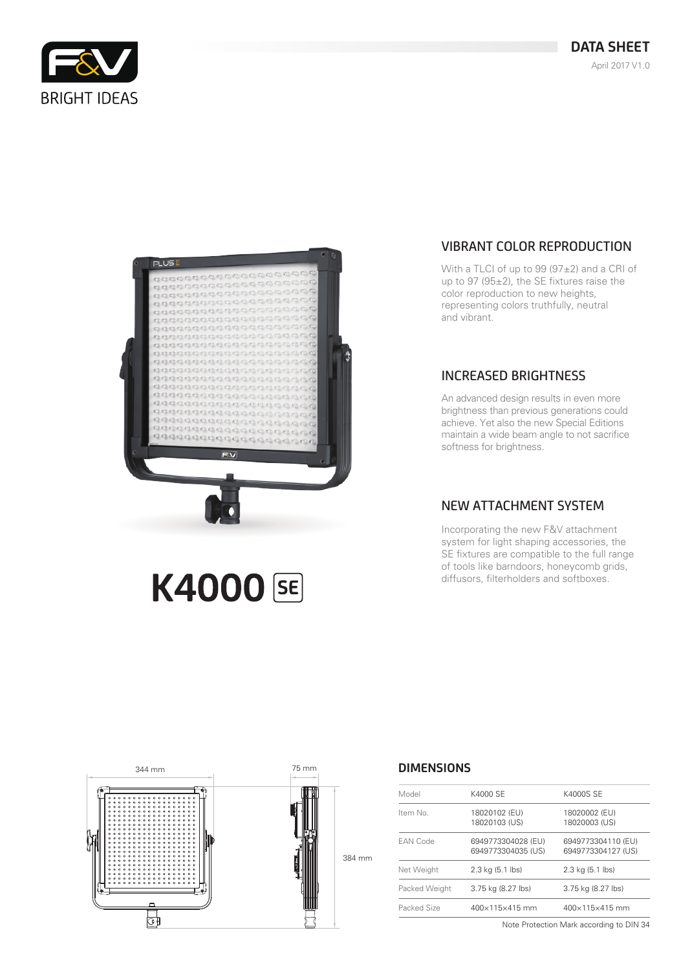



**K4000 SE** 

# VIBRANT COLOR REPRODUCTION

With a TLCI of up to 99 (97±2) and a CRI of up to 97 (95 $\pm$ 2), the SE fixtures raise the color reproduction to new heights, representing colors truthfully, neutral and vibrant.

### INCREASED BRIGHTNESS

An advanced design results in even more brightness than previous generations could achieve. Yet also the new Special Editions maintain a wide beam angle to not sacrifice softness for brightness.

### NEW ATTACHMENT SYSTEM

Incorporating the new F&V attachment system for light shaping accessories, the SE fixtures are compatible to the full range of tools like barndoors, honeycomb grids, diffusors, filterholders and softboxes.



#### **DIMENSIONS**

| Model           | K4000 SE                                 | K4000S SE                                |
|-----------------|------------------------------------------|------------------------------------------|
| Item No.        | 18020102 (EU)<br>18020103 (US)           | 18020002 (EU)<br>18020003 (US)           |
| <b>EAN Code</b> | 6949773304028 (EU)<br>6949773304035 (US) | 6949773304110 (EU)<br>6949773304127 (US) |
| Net Weight      | 2.3 kg (5.1 lbs)                         | 2.3 kg (5.1 lbs)                         |
| Packed Weight   | 3.75 kg (8.27 lbs)                       | 3.75 kg (8.27 lbs)                       |
| Packed Size     | $400 \times 115 \times 415$ mm           | $400 \times 115 \times 415$ mm           |
|                 |                                          |                                          |

Note Protection Mark according to DIN 34